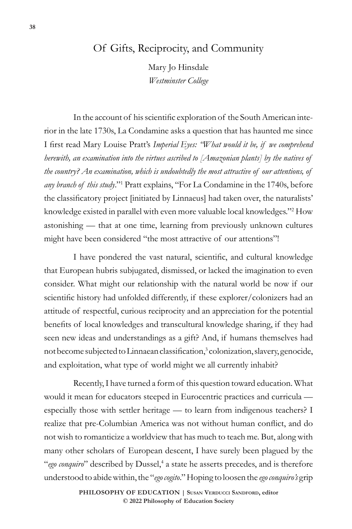## Of Gifts, Reciprocity, and Community

Mary Jo Hinsdale *Westminster College*

In the account of his scientific exploration of the South American interior in the late 1730s, La Condamine asks a question that has haunted me since I first read Mary Louise Pratt's *Imperial Eyes: "What would it be, if we comprehend herewith, an examination into the virtues ascribed to [Amazonian plants] by the natives of the country? An examination, which is undoubtedly the most attractive of our attentions, of*  any branch of this study."<sup>1</sup> Pratt explains, "For La Condamine in the 1740s, before the classificatory project [initiated by Linnaeus] had taken over, the naturalists' knowledge existed in parallel with even more valuable local knowledges."<sup>2</sup> How astonishing — that at one time, learning from previously unknown cultures might have been considered "the most attractive of our attentions"!

I have pondered the vast natural, scientific, and cultural knowledge that European hubris subjugated, dismissed, or lacked the imagination to even consider. What might our relationship with the natural world be now if our scientific history had unfolded differently, if these explorer/colonizers had an attitude of respectful, curious reciprocity and an appreciation for the potential benefits of local knowledges and transcultural knowledge sharing, if they had seen new ideas and understandings as a gift? And, if humans themselves had not become subjected to Linnaean classification,<sup>3</sup> colonization, slavery, genocide, and exploitation, what type of world might we all currently inhabit?

Recently, I have turned a form of this question toward education. What would it mean for educators steeped in Eurocentric practices and curricula especially those with settler heritage — to learn from indigenous teachers? I realize that pre-Columbian America was not without human conflict, and do not wish to romanticize a worldview that has much to teach me. But, along with many other scholars of European descent, I have surely been plagued by the "ego conquiro" described by Dussel,<sup>4</sup> a state he asserts precedes, and is therefore understood to abide within, the "*ego cogito*." Hoping to loosen the *ego conquiro's* grip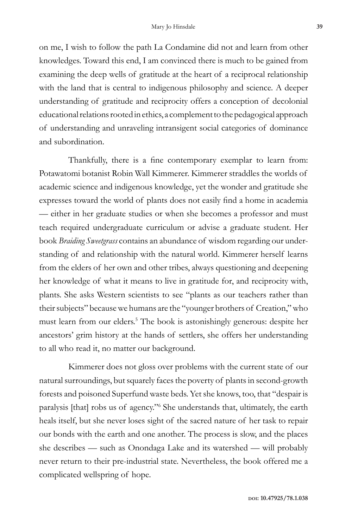on me, I wish to follow the path La Condamine did not and learn from other knowledges. Toward this end, I am convinced there is much to be gained from examining the deep wells of gratitude at the heart of a reciprocal relationship with the land that is central to indigenous philosophy and science. A deeper understanding of gratitude and reciprocity offers a conception of decolonial educational relations rooted in ethics, a complement to the pedagogical approach of understanding and unraveling intransigent social categories of dominance and subordination.

Thankfully, there is a fine contemporary exemplar to learn from: Potawatomi botanist Robin Wall Kimmerer. Kimmerer straddles the worlds of academic science and indigenous knowledge, yet the wonder and gratitude she expresses toward the world of plants does not easily find a home in academia — either in her graduate studies or when she becomes a professor and must teach required undergraduate curriculum or advise a graduate student. Her book *Braiding Sweetgrass* contains an abundance of wisdom regarding our understanding of and relationship with the natural world. Kimmerer herself learns from the elders of her own and other tribes, always questioning and deepening her knowledge of what it means to live in gratitude for, and reciprocity with, plants. She asks Western scientists to see "plants as our teachers rather than their subjects" because we humans are the "younger brothers of Creation," who must learn from our elders.5 The book is astonishingly generous: despite her ancestors' grim history at the hands of settlers, she offers her understanding to all who read it, no matter our background.

Kimmerer does not gloss over problems with the current state of our natural surroundings, but squarely faces the poverty of plants in second-growth forests and poisoned Superfund waste beds. Yet she knows, too, that "despair is paralysis [that] robs us of agency."<sup>6</sup> She understands that, ultimately, the earth heals itself, but she never loses sight of the sacred nature of her task to repair our bonds with the earth and one another. The process is slow, and the places she describes — such as Onondaga Lake and its watershed — will probably never return to their pre-industrial state. Nevertheless, the book offered me a complicated wellspring of hope.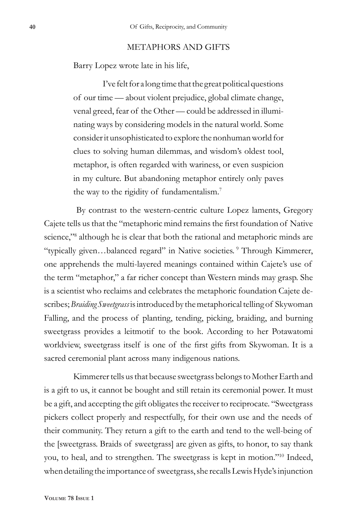## METAPHORS AND GIFTS

Barry Lopez wrote late in his life,

I've felt for a long time that the great political questions of our time — about violent prejudice, global climate change, venal greed, fear of the Other — could be addressed in illuminating ways by considering models in the natural world. Some consider it unsophisticated to explore the nonhuman world for clues to solving human dilemmas, and wisdom's oldest tool, metaphor, is often regarded with wariness, or even suspicion in my culture. But abandoning metaphor entirely only paves the way to the rigidity of fundamentalism.<sup>7</sup>

 By contrast to the western-centric culture Lopez laments, Gregory Cajete tells us that the "metaphoric mind remains the first foundation of Native science,"<sup>8</sup> although he is clear that both the rational and metaphoric minds are "typically given…balanced regard" in Native societies. <sup>9</sup> Through Kimmerer, one apprehends the multi-layered meanings contained within Cajete's use of the term "metaphor," a far richer concept than Western minds may grasp. She is a scientist who reclaims and celebrates the metaphoric foundation Cajete describes; *Braiding Sweetgrass* is introduced by the metaphorical telling of Skywoman Falling, and the process of planting, tending, picking, braiding, and burning sweetgrass provides a leitmotif to the book. According to her Potawatomi worldview, sweetgrass itself is one of the first gifts from Skywoman. It is a sacred ceremonial plant across many indigenous nations.

Kimmerer tells us that because sweetgrass belongs to Mother Earth and is a gift to us, it cannot be bought and still retain its ceremonial power. It must be a gift, and accepting the gift obligates the receiver to reciprocate. "Sweetgrass pickers collect properly and respectfully, for their own use and the needs of their community. They return a gift to the earth and tend to the well-being of the [sweetgrass. Braids of sweetgrass] are given as gifts, to honor, to say thank you, to heal, and to strengthen. The sweetgrass is kept in motion."10 Indeed, when detailing the importance of sweetgrass, she recalls Lewis Hyde's injunction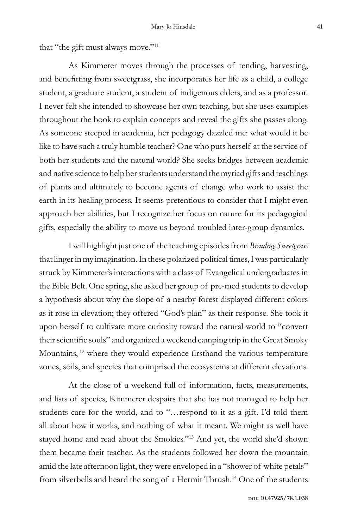that "the gift must always move."<sup>11</sup>

As Kimmerer moves through the processes of tending, harvesting, and benefitting from sweetgrass, she incorporates her life as a child, a college student, a graduate student, a student of indigenous elders, and as a professor. I never felt she intended to showcase her own teaching, but she uses examples throughout the book to explain concepts and reveal the gifts she passes along. As someone steeped in academia, her pedagogy dazzled me: what would it be like to have such a truly humble teacher? One who puts herself at the service of both her students and the natural world? She seeks bridges between academic and native science to help her students understand the myriad gifts and teachings of plants and ultimately to become agents of change who work to assist the earth in its healing process. It seems pretentious to consider that I might even approach her abilities, but I recognize her focus on nature for its pedagogical gifts, especially the ability to move us beyond troubled inter-group dynamics.

I will highlight just one of the teaching episodes from *Braiding Sweetgrass* that linger in my imagination. In these polarized political times, I was particularly struck by Kimmerer's interactions with a class of Evangelical undergraduates in the Bible Belt. One spring, she asked her group of pre-med students to develop a hypothesis about why the slope of a nearby forest displayed different colors as it rose in elevation; they offered "God's plan" as their response. She took it upon herself to cultivate more curiosity toward the natural world to "convert their scientific souls" and organized a weekend camping trip in the Great Smoky Mountains, <sup>12</sup> where they would experience firsthand the various temperature zones, soils, and species that comprised the ecosystems at different elevations.

At the close of a weekend full of information, facts, measurements, and lists of species, Kimmerer despairs that she has not managed to help her students care for the world, and to "…respond to it as a gift. I'd told them all about how it works, and nothing of what it meant. We might as well have stayed home and read about the Smokies."<sup>13</sup> And yet, the world she'd shown them became their teacher. As the students followed her down the mountain amid the late afternoon light, they were enveloped in a "shower of white petals" from silverbells and heard the song of a Hermit Thrush.14 One of the students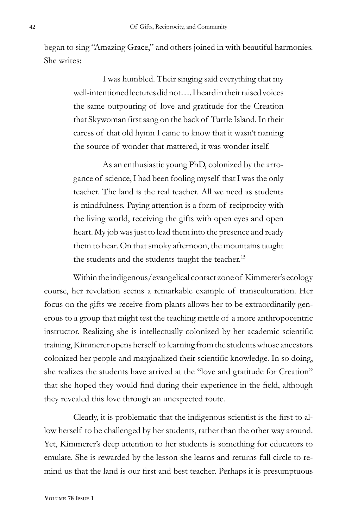began to sing "Amazing Grace," and others joined in with beautiful harmonies. She writes:

> I was humbled. Their singing said everything that my well-intentioned lectures did not…. I heard in their raised voices the same outpouring of love and gratitude for the Creation that Skywoman first sang on the back of Turtle Island. In their caress of that old hymn I came to know that it wasn't naming the source of wonder that mattered, it was wonder itself.

> As an enthusiastic young PhD, colonized by the arrogance of science, I had been fooling myself that I was the only teacher. The land is the real teacher. All we need as students is mindfulness. Paying attention is a form of reciprocity with the living world, receiving the gifts with open eyes and open heart. My job was just to lead them into the presence and ready them to hear. On that smoky afternoon, the mountains taught the students and the students taught the teacher.<sup>15</sup>

Within the indigenous/evangelical contact zone of Kimmerer's ecology course, her revelation seems a remarkable example of transculturation. Her focus on the gifts we receive from plants allows her to be extraordinarily generous to a group that might test the teaching mettle of a more anthropocentric instructor. Realizing she is intellectually colonized by her academic scientific training, Kimmerer opens herself to learning from the students whose ancestors colonized her people and marginalized their scientific knowledge. In so doing, she realizes the students have arrived at the "love and gratitude for Creation" that she hoped they would find during their experience in the field, although they revealed this love through an unexpected route.

Clearly, it is problematic that the indigenous scientist is the first to allow herself to be challenged by her students, rather than the other way around. Yet, Kimmerer's deep attention to her students is something for educators to emulate. She is rewarded by the lesson she learns and returns full circle to remind us that the land is our first and best teacher. Perhaps it is presumptuous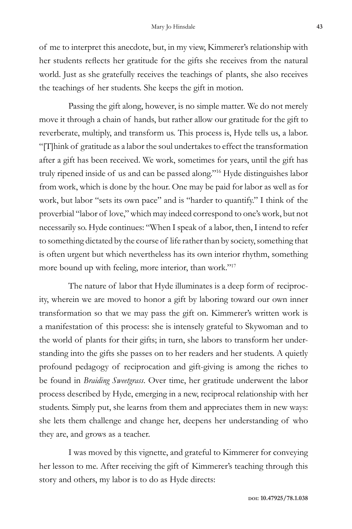of me to interpret this anecdote, but, in my view, Kimmerer's relationship with her students reflects her gratitude for the gifts she receives from the natural world. Just as she gratefully receives the teachings of plants, she also receives the teachings of her students. She keeps the gift in motion.

Passing the gift along, however, is no simple matter. We do not merely move it through a chain of hands, but rather allow our gratitude for the gift to reverberate, multiply, and transform us. This process is, Hyde tells us, a labor. "[T]hink of gratitude as a labor the soul undertakes to effect the transformation after a gift has been received. We work, sometimes for years, until the gift has truly ripened inside of us and can be passed along."<sup>16</sup> Hyde distinguishes labor from work, which is done by the hour. One may be paid for labor as well as for work, but labor "sets its own pace" and is "harder to quantify." I think of the proverbial "labor of love," which may indeed correspond to one's work, but not necessarily so. Hyde continues: "When I speak of a labor, then, I intend to refer to something dictated by the course of life rather than by society, something that is often urgent but which nevertheless has its own interior rhythm, something more bound up with feeling, more interior, than work."<sup>17</sup>

The nature of labor that Hyde illuminates is a deep form of reciprocity, wherein we are moved to honor a gift by laboring toward our own inner transformation so that we may pass the gift on. Kimmerer's written work is a manifestation of this process: she is intensely grateful to Skywoman and to the world of plants for their gifts; in turn, she labors to transform her understanding into the gifts she passes on to her readers and her students. A quietly profound pedagogy of reciprocation and gift-giving is among the riches to be found in *Braiding Sweetgrass*. Over time, her gratitude underwent the labor process described by Hyde, emerging in a new, reciprocal relationship with her students. Simply put, she learns from them and appreciates them in new ways: she lets them challenge and change her, deepens her understanding of who they are, and grows as a teacher.

I was moved by this vignette, and grateful to Kimmerer for conveying her lesson to me. After receiving the gift of Kimmerer's teaching through this story and others, my labor is to do as Hyde directs: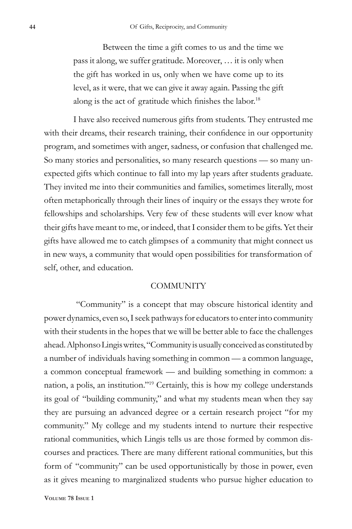Between the time a gift comes to us and the time we pass it along, we suffer gratitude. Moreover, … it is only when the gift has worked in us, only when we have come up to its level, as it were, that we can give it away again. Passing the gift along is the act of gratitude which finishes the labor.<sup>18</sup>

I have also received numerous gifts from students. They entrusted me with their dreams, their research training, their confidence in our opportunity program, and sometimes with anger, sadness, or confusion that challenged me. So many stories and personalities, so many research questions — so many unexpected gifts which continue to fall into my lap years after students graduate. They invited me into their communities and families, sometimes literally, most often metaphorically through their lines of inquiry or the essays they wrote for fellowships and scholarships. Very few of these students will ever know what their gifts have meant to me, or indeed, that I consider them to be gifts. Yet their gifts have allowed me to catch glimpses of a community that might connect us in new ways, a community that would open possibilities for transformation of self, other, and education.

## **COMMUNITY**

 "Community" is a concept that may obscure historical identity and power dynamics, even so, I seek pathways for educators to enter into community with their students in the hopes that we will be better able to face the challenges ahead. Alphonso Lingis writes, "Community is usually conceived as constituted by a number of individuals having something in common — a common language, a common conceptual framework — and building something in common: a nation, a polis, an institution."19 Certainly, this is how my college understands its goal of "building community," and what my students mean when they say they are pursuing an advanced degree or a certain research project "for my community." My college and my students intend to nurture their respective rational communities, which Lingis tells us are those formed by common discourses and practices. There are many different rational communities, but this form of "community" can be used opportunistically by those in power, even as it gives meaning to marginalized students who pursue higher education to

**Volume 78 Issue 1**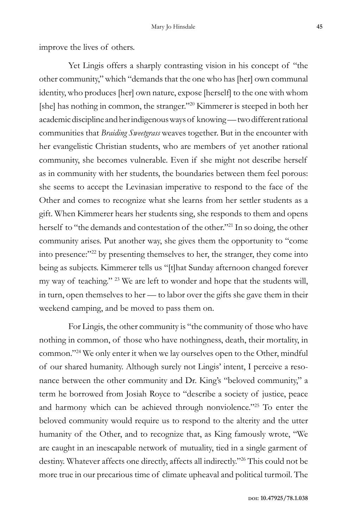improve the lives of others.

Yet Lingis offers a sharply contrasting vision in his concept of "the other community," which "demands that the one who has [her] own communal identity, who produces [her] own nature, expose [herself] to the one with whom [she] has nothing in common, the stranger."<sup>20</sup> Kimmerer is steeped in both her academic discipline and her indigenous ways of knowing — two different rational communities that *Braiding Sweetgrass* weaves together. But in the encounter with her evangelistic Christian students, who are members of yet another rational community, she becomes vulnerable. Even if she might not describe herself as in community with her students, the boundaries between them feel porous: she seems to accept the Levinasian imperative to respond to the face of the Other and comes to recognize what she learns from her settler students as a gift. When Kimmerer hears her students sing, she responds to them and opens herself to "the demands and contestation of the other."<sup>21</sup> In so doing, the other community arises. Put another way, she gives them the opportunity to "come into presence:"<sup>22</sup> by presenting themselves to her, the stranger, they come into being as subjects. Kimmerer tells us "[t]hat Sunday afternoon changed forever my way of teaching." 23 We are left to wonder and hope that the students will, in turn, open themselves to her — to labor over the gifts she gave them in their weekend camping, and be moved to pass them on.

For Lingis, the other community is "the community of those who have nothing in common, of those who have nothingness, death, their mortality, in common."24 We only enter it when we lay ourselves open to the Other, mindful of our shared humanity. Although surely not Lingis' intent, I perceive a resonance between the other community and Dr. King's "beloved community," a term he borrowed from Josiah Royce to "describe a society of justice, peace and harmony which can be achieved through nonviolence."<sup>25</sup> To enter the beloved community would require us to respond to the alterity and the utter humanity of the Other, and to recognize that, as King famously wrote, "We are caught in an inescapable network of mutuality, tied in a single garment of destiny. Whatever affects one directly, affects all indirectly."<sup>26</sup> This could not be more true in our precarious time of climate upheaval and political turmoil. The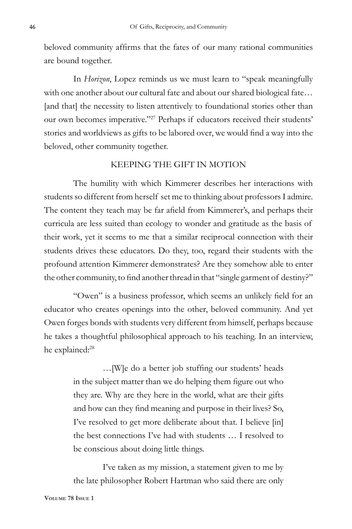beloved community affirms that the fates of our many rational communities are bound together.

In *Horizon*, Lopez reminds us we must learn to "speak meaningfully with one another about our cultural fate and about our shared biological fate… [and that] the necessity to listen attentively to foundational stories other than our own becomes imperative."<sup>27</sup> Perhaps if educators received their students' stories and worldviews as gifts to be labored over, we would find a way into the beloved, other community together.

## KEEPING THE GIFT IN MOTION

The humility with which Kimmerer describes her interactions with students so different from herself set me to thinking about professors I admire. The content they teach may be far afield from Kimmerer's, and perhaps their curricula are less suited than ecology to wonder and gratitude as the basis of their work, yet it seems to me that a similar reciprocal connection with their students drives these educators. Do they, too, regard their students with the profound attention Kimmerer demonstrates? Are they somehow able to enter the other community, to find another thread in that "single garment of destiny?"

"Owen" is a business professor, which seems an unlikely field for an educator who creates openings into the other, beloved community. And yet Owen forges bonds with students very different from himself, perhaps because he takes a thoughtful philosophical approach to his teaching. In an interview, he explained:<sup>28</sup>

> …[W]e do a better job stuffing our students' heads in the subject matter than we do helping them figure out who they are. Why are they here in the world, what are their gifts and how can they find meaning and purpose in their lives? So, I've resolved to get more deliberate about that. I believe [in] the best connections I've had with students … I resolved to be conscious about doing little things.

> I've taken as my mission, a statement given to me by the late philosopher Robert Hartman who said there are only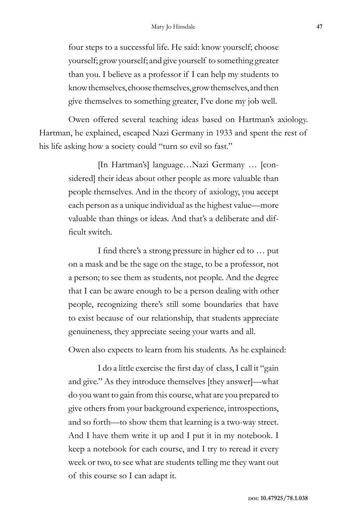four steps to a successful life. He said: know yourself; choose yourself; grow yourself; and give yourself to something greater than you. I believe as a professor if I can help my students to know themselves, choose themselves, grow themselves, and then give themselves to something greater, I've done my job well.

Owen offered several teaching ideas based on Hartman's axiology. Hartman, he explained, escaped Nazi Germany in 1933 and spent the rest of his life asking how a society could "turn so evil so fast."

> [In Hartman's] language…Nazi Germany … [considered] their ideas about other people as more valuable than people themselves. And in the theory of axiology, you accept each person as a unique individual as the highest value—more valuable than things or ideas. And that's a deliberate and difficult switch.

> I find there's a strong pressure in higher ed to … put on a mask and be the sage on the stage, to be a professor, not a person; to see them as students, not people. And the degree that I can be aware enough to be a person dealing with other people, recognizing there's still some boundaries that have to exist because of our relationship, that students appreciate genuineness, they appreciate seeing your warts and all.

Owen also expects to learn from his students. As he explained:

I do a little exercise the first day of class, I call it "gain and give." As they introduce themselves [they answer]—what do you want to gain from this course, what are you prepared to give others from your background experience, introspections, and so forth—to show them that learning is a two-way street. And I have them write it up and I put it in my notebook. I keep a notebook for each course, and I try to reread it every week or two, to see what are students telling me they want out of this course so I can adapt it.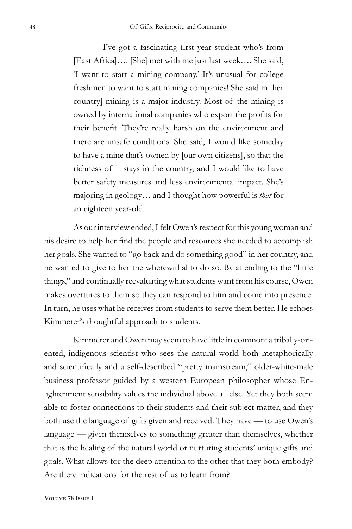I've got a fascinating first year student who's from [East Africa]…. [She] met with me just last week…. She said, 'I want to start a mining company.' It's unusual for college freshmen to want to start mining companies! She said in [her country] mining is a major industry. Most of the mining is owned by international companies who export the profits for their benefit. They're really harsh on the environment and there are unsafe conditions. She said, I would like someday to have a mine that's owned by [our own citizens], so that the richness of it stays in the country, and I would like to have better safety measures and less environmental impact. She's majoring in geology… and I thought how powerful is *that* for an eighteen year-old.

As our interview ended, I felt Owen's respect for this young woman and his desire to help her find the people and resources she needed to accomplish her goals. She wanted to "go back and do something good" in her country, and he wanted to give to her the wherewithal to do so. By attending to the "little things," and continually reevaluating what students want from his course, Owen makes overtures to them so they can respond to him and come into presence. In turn, he uses what he receives from students to serve them better. He echoes Kimmerer's thoughtful approach to students.

Kimmerer and Owen may seem to have little in common: a tribally-oriented, indigenous scientist who sees the natural world both metaphorically and scientifically and a self-described "pretty mainstream," older-white-male business professor guided by a western European philosopher whose Enlightenment sensibility values the individual above all else. Yet they both seem able to foster connections to their students and their subject matter, and they both use the language of gifts given and received. They have — to use Owen's language — given themselves to something greater than themselves, whether that is the healing of the natural world or nurturing students' unique gifts and goals. What allows for the deep attention to the other that they both embody? Are there indications for the rest of us to learn from?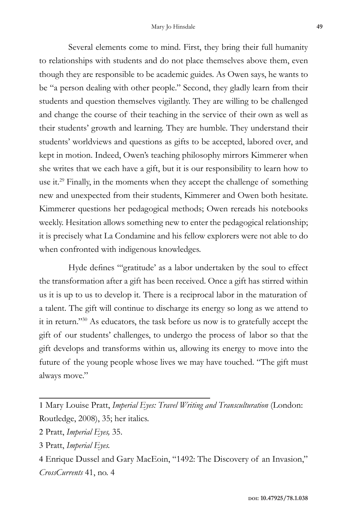Several elements come to mind. First, they bring their full humanity to relationships with students and do not place themselves above them, even though they are responsible to be academic guides. As Owen says, he wants to be "a person dealing with other people." Second, they gladly learn from their students and question themselves vigilantly. They are willing to be challenged and change the course of their teaching in the service of their own as well as their students' growth and learning. They are humble. They understand their students' worldviews and questions as gifts to be accepted, labored over, and kept in motion. Indeed, Owen's teaching philosophy mirrors Kimmerer when she writes that we each have a gift, but it is our responsibility to learn how to use it.<sup>29</sup> Finally, in the moments when they accept the challenge of something new and unexpected from their students, Kimmerer and Owen both hesitate. Kimmerer questions her pedagogical methods; Owen rereads his notebooks weekly. Hesitation allows something new to enter the pedagogical relationship; it is precisely what La Condamine and his fellow explorers were not able to do when confronted with indigenous knowledges.

Hyde defines "'gratitude' as a labor undertaken by the soul to effect the transformation after a gift has been received. Once a gift has stirred within us it is up to us to develop it. There is a reciprocal labor in the maturation of a talent. The gift will continue to discharge its energy so long as we attend to it in return."30 As educators, the task before us now is to gratefully accept the gift of our students' challenges, to undergo the process of labor so that the gift develops and transforms within us, allowing its energy to move into the future of the young people whose lives we may have touched. "The gift must always move."

- 2 Pratt, *Imperial Eyes,* 35.
- 3 Pratt, *Imperial Eyes.*

<sup>1</sup> Mary Louise Pratt, *Imperial Eyes: Travel Writing and Transculturation* (London: Routledge, 2008), 35; her italics.

<sup>4</sup> Enrique Dussel and Gary MacEoin, "1492: The Discovery of an Invasion," *CrossCurrents* 41, no. 4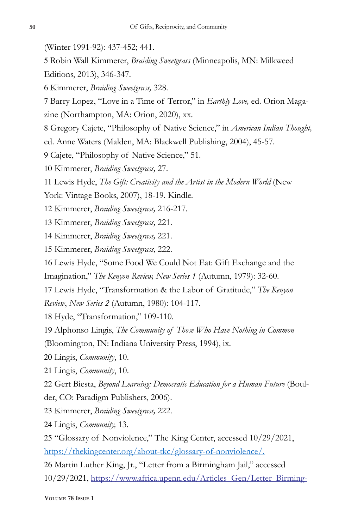- (Winter 1991-92): 437-452; 441.
- Robin Wall Kimmerer, *Braiding Sweetgrass* (Minneapolis, MN: Milkweed Editions, 2013), 346-347.
- Kimmerer, *Braiding Sweetgrass,* 328.

 Barry Lopez, "Love in a Time of Terror," in *Earthly Love,* ed. Orion Magazine (Northampton, MA: Orion, 2020), xx.

Gregory Cajete, "Philosophy of Native Science," in *American Indian Thought,* 

ed. Anne Waters (Malden, MA: Blackwell Publishing, 2004), 45-57.

- Cajete, "Philosophy of Native Science," 51.
- Kimmerer, *Braiding Sweetgrass,* 27.
- Lewis Hyde, *The Gift: Creativity and the Artist in the Modern World* (New
- York: Vintage Books, 2007), 18-19. Kindle.
- Kimmerer, *Braiding Sweetgrass,* 216-217*.*
- Kimmerer, *Braiding Sweetgrass,* 221.
- Kimmerer, *Braiding Sweetgrass,* 221.
- Kimmerer, *Braiding Sweetgrass,* 222.
- Lewis Hyde, "Some Food We Could Not Eat: Gift Exchange and the Imagination," *The Kenyon Review, New Series 1* (Autumn, 1979): 32-60.
- Lewis Hyde, "Transformation & the Labor of Gratitude," *The Kenyon*
- *Review*, *New Series 2* (Autumn, 1980): 104-117.
- Hyde, "Transformation," 109-110.
- Alphonso Lingis, *The Community of Those Who Have Nothing in Common*

(Bloomington, IN: Indiana University Press, 1994), ix.

- Lingis, *Community*, 10.
- Lingis, *Community*, 10.
- Gert Biesta, *Beyond Learning: Democratic Education for a Human Future* (Boul-
- der, CO: Paradigm Publishers, 2006).
- Kimmerer, *Braiding Sweetgrass,* 222.
- Lingis, *Community,* 13.

 "Glossary of Nonviolence," The King Center, accessed 10/29/2021, https://thekingcenter.org/about-tkc/glossary-of-nonviolence/.

 Martin Luther King, Jr., "Letter from a Birmingham Jail," accessed 10/29/2021, https://www.africa.upenn.edu/Articles\_Gen/Letter\_Birming